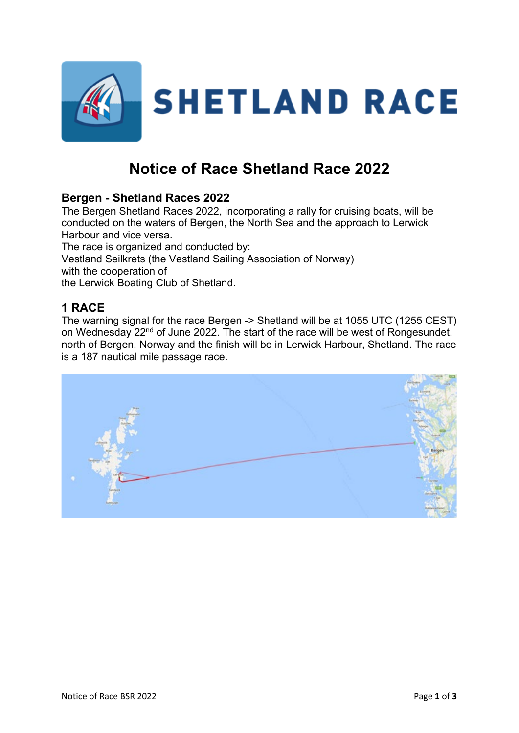

# **Notice of Race Shetland Race 2022**

# **Bergen - Shetland Races 2022**

The Bergen Shetland Races 2022, incorporating a rally for cruising boats, will be conducted on the waters of Bergen, the North Sea and the approach to Lerwick Harbour and vice versa.

The race is organized and conducted by: Vestland Seilkrets (the Vestland Sailing Association of Norway) with the cooperation of the Lerwick Boating Club of Shetland.

# **1 RACE**

The warning signal for the race Bergen -> Shetland will be at 1055 UTC (1255 CEST) on Wednesday 22<sup>nd</sup> of June 2022. The start of the race will be west of Rongesundet, north of Bergen, Norway and the finish will be in Lerwick Harbour, Shetland. The race is a 187 nautical mile passage race.

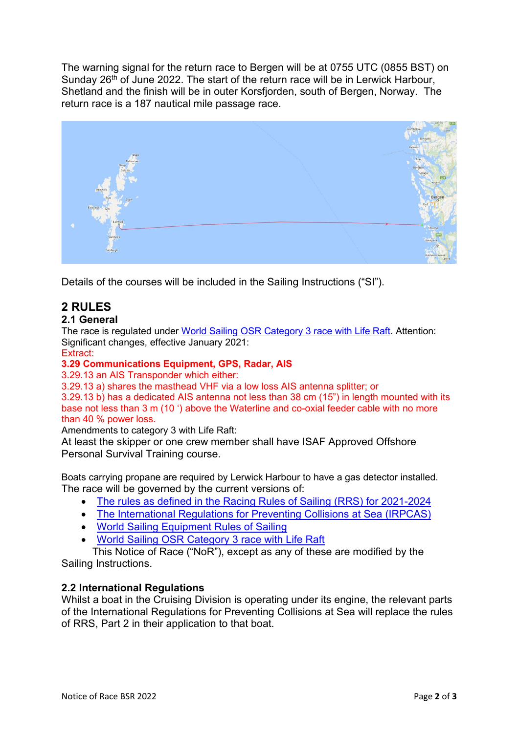The warning signal for the return race to Bergen will be at 0755 UTC (0855 BST) on Sunday 26<sup>th</sup> of June 2022. The start of the return race will be in Lerwick Harbour, Shetland and the finish will be in outer Korsfjorden, south of Bergen, Norway. The return race is a 187 nautical mile passage race.



Details of the courses will be included in the Sailing Instructions ("SI").

# **2 RULES**

#### **2.1 General**

The race is regulated under [World Sailing OSR Category 3 race with Life Raft.](https://d2cx26qpfwuhvu.cloudfront.net/sailing/wp-content/uploads/2022/02/16130828/OSR-Monohull-Category-3-Liferaft-Extract-22v2.pdf) Attention: Significant changes, effective January 2021:

Extract:

#### **3.29 Communications Equipment, GPS, Radar, AIS**

3.29.13 an AIS Transponder which either:

3.29.13 a) shares the masthead VHF via a low loss AIS antenna splitter; or

3.29.13 b) has a dedicated AIS antenna not less than 38 cm (15") in length mounted with its base not less than 3 m (10 ') above the Waterline and co-oxial feeder cable with no more than 40 % power loss.

Amendments to category 3 with Life Raft:

At least the skipper or one crew member shall have ISAF Approved Offshore Personal Survival Training course.

Boats carrying propane are required by Lerwick Harbour to have a gas detector installed. The race will be governed by the current versions of:

- [The rules as defined in the Racing Rules of Sailing \(RRS\) for 2021-2024](https://www.sailing.org/tools/documents/WSRRS20212024FinalwithChgsandCorrecns201113-%5b27417%5d.pdf)
- [The International Regulations for Preventing Collisions at Sea \(IRPCAS\)](http://webarchive.nationalarchives.gov.uk/20121107103953/http:/www.dft.gov.uk/mca/msn_1781-2.pdf)
- [World Sailing Equipment Rules of Sailing](https://www.sailing.org/tools/documents/EquipmentRulesofSailing20212024-%5b26661%5d.pdf)
- [World Sailing OSR Category 3 race with Life Raft](http://www.sailing.org/tools/documents/mo3life180104-%5b23485%5d.pdf)

This Notice of Race ("NoR"), except as any of these are modified by the Sailing Instructions.

#### **2.2 International Regulations**

Whilst a boat in the Cruising Division is operating under its engine, the relevant parts of the International Regulations for Preventing Collisions at Sea will replace the rules of RRS, Part 2 in their application to that boat.